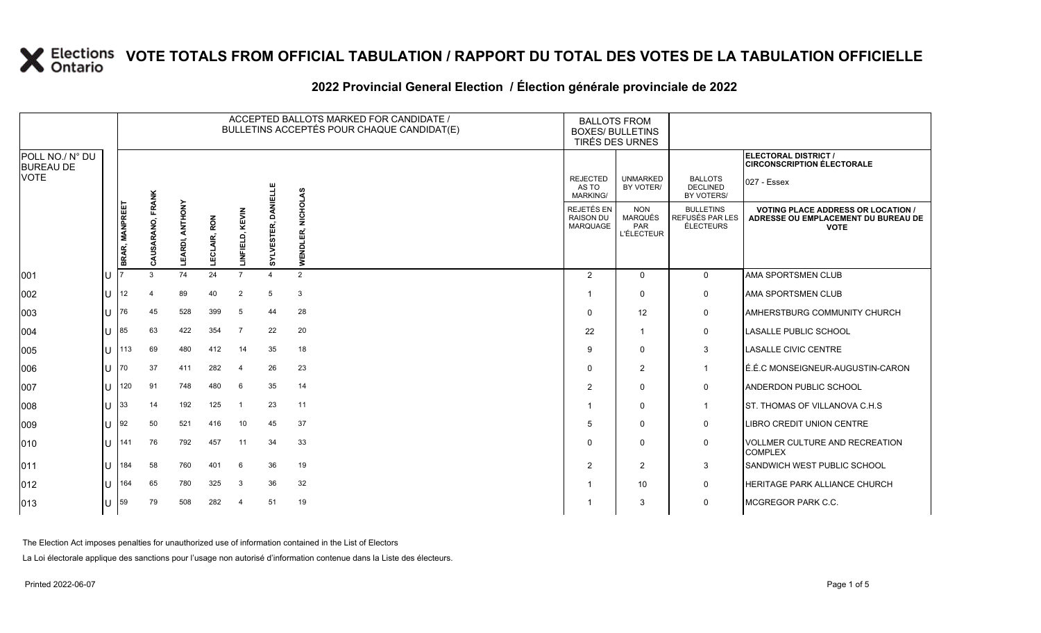#### 2022 Provincial General Election / Election générale provinciale de 2022

|                                     |     |                 |                  |                    |                     |                      |                | ACCEPTED BALLOTS MARKED FOR CANDIDATE /<br>BULLETINS ACCEPTÉS POUR CHAQUE CANDIDAT(E) | <b>BALLOTS FROM</b><br><b>BOXES/ BULLETINS</b>           | TIRÉS DES URNES                                          |                                                  |                                                                                                 |
|-------------------------------------|-----|-----------------|------------------|--------------------|---------------------|----------------------|----------------|---------------------------------------------------------------------------------------|----------------------------------------------------------|----------------------------------------------------------|--------------------------------------------------|-------------------------------------------------------------------------------------------------|
| POLL NO./ N° DU<br><b>BUREAU DE</b> |     |                 |                  |                    |                     |                      |                |                                                                                       |                                                          |                                                          |                                                  | ELECTORAL DISTRICT /<br><b>CIRCONSCRIPTION ÉLECTORALE</b>                                       |
| <b>VOTE</b>                         |     |                 |                  |                    |                     |                      | DANIELLE       |                                                                                       | <b>REJECTED</b><br>AS TO<br><b>MARKING/</b>              | <b>UNMARKED</b><br>BY VOTER/                             | <b>BALLOTS</b><br><b>DECLINED</b><br>BY VOTERS/  | 027 - Essex                                                                                     |
|                                     |     | BRAR, MANPREET  | CAUSARANO, FRANK | ANTHONY<br>LEARDI, | LAIR, RON<br>င<br>비 | KEVIN<br>FIELD,<br>Ē | SYLVESTER,     | NICHOLAS<br>WENDLER,                                                                  | <b>REJETÉS EN</b><br><b>RAISON DU</b><br><b>MARQUAGE</b> | <b>NON</b><br><b>MARQUÉS</b><br>PAR<br><b>L'ÉLECTEUR</b> | <b>BULLETINS</b><br>REFUSÉS PAR LES<br>ÉLECTEURS | <b>VOTING PLACE ADDRESS OR LOCATION /</b><br>ADRESSE OU EMPLACEMENT DU BUREAU DE<br><b>VOTE</b> |
| 001                                 | lU  |                 | 3                | 74                 | 24                  | $\overline{7}$       | $\overline{4}$ | 2                                                                                     | 2                                                        | $\mathbf 0$                                              | $\mathbf 0$                                      | <b>AMA SPORTSMEN CLUB</b>                                                                       |
| 002                                 | IП  | 12 <sup>2</sup> | 4                | 89                 | 40                  | $\overline{2}$       | -5             | 3                                                                                     |                                                          | $\mathbf 0$                                              | $\mathsf 0$                                      | AMA SPORTSMEN CLUB                                                                              |
| 003                                 | lu  | 76              | 45               | 528                | 399                 | 5                    | 44             | 28                                                                                    | $\Omega$                                                 | 12                                                       | 0                                                | <b>AMHERSTBURG COMMUNITY CHURCH</b>                                                             |
| 004                                 | lu  | 85              | 63               | 422                | 354                 | -7                   | 22             | 20                                                                                    | 22                                                       | $\overline{1}$                                           | 0                                                | <b>LASALLE PUBLIC SCHOOL</b>                                                                    |
| 005                                 | lu  | 113             | 69               | 480                | 412                 | 14                   | 35             | 18                                                                                    | g                                                        | $\mathbf 0$                                              | 3                                                | <b>LASALLE CIVIC CENTRE</b>                                                                     |
| 006                                 | lu  | 70              | 37               | 411                | 282                 | $\overline{4}$       | 26             | 23                                                                                    | $\Omega$                                                 | 2                                                        | $\mathbf{1}$                                     | LÉ.É.C MONSEIGNEUR-AUGUSTIN-CARON                                                               |
| 007                                 | IП  | 120             | 91               | 748                | 480                 | 6                    | 35             | 14                                                                                    | 2                                                        | $\mathbf 0$                                              | 0                                                | <b>ANDERDON PUBLIC SCHOOL</b>                                                                   |
| 008                                 | ΙU  | 33              | 14               | 192                | 125                 |                      | 23             | 11                                                                                    |                                                          | $\mathbf 0$                                              | $\overline{1}$                                   | ST. THOMAS OF VILLANOVA C.H.S.                                                                  |
| 009                                 | IП  | 92              | 50               | 521                | 416                 | 10                   | 45             | 37                                                                                    | .5                                                       | $\mathbf 0$                                              | 0                                                | LIBRO CREDIT UNION CENTRE                                                                       |
| 010                                 | lu  | 141             | 76               | 792                | 457                 | 11                   | 34             | 33                                                                                    | $\Omega$                                                 | $\mathbf 0$                                              | 0                                                | <b>VOLLMER CULTURE AND RECREATION</b><br><b>COMPLEX</b>                                         |
| 011                                 | IП  | 184             | 58               | 760                | 401                 | 6                    | 36             | 19                                                                                    | 2                                                        | 2                                                        | $\mathbf{3}$                                     | SANDWICH WEST PUBLIC SCHOOL                                                                     |
| $ 012\rangle$                       | lU  | 164             | 65               | 780                | 325                 | 3                    | 36             | 32                                                                                    |                                                          | 10                                                       | 0                                                | <b>HERITAGE PARK ALLIANCE CHURCH</b>                                                            |
| $ 013\rangle$                       | lU. | 59              | 79               | 508                | 282                 | -4                   | 51             | 19                                                                                    |                                                          | 3                                                        | $\mathbf 0$                                      | MCGREGOR PARK C.C.                                                                              |

The Election Act imposes penalties for unauthorized use of information contained in the List of Electors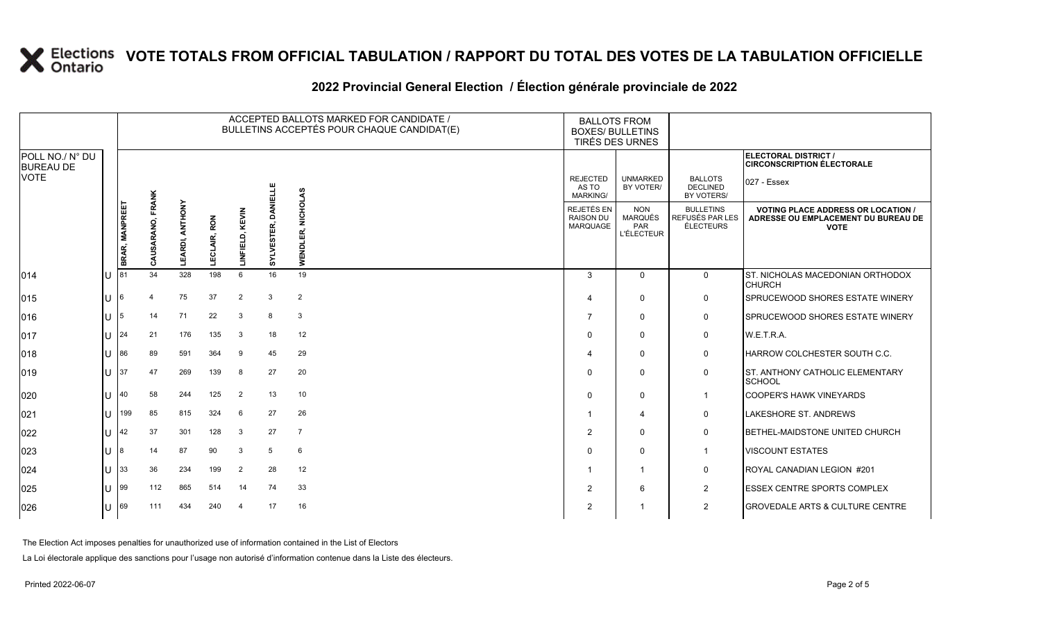|                                     |   | ACCEPTED BALLOTS MARKED FOR CANDIDATE /<br>BULLETINS ACCEPTÉS POUR CHAQUE CANDIDAT(E) |                       |                    |                 |                 |                        |                      |  | <b>BALLOTS FROM</b>                         | <b>BOXES/ BULLETINS</b><br>TIRÉS DES URNES        |                                                  |                                                                                                 |
|-------------------------------------|---|---------------------------------------------------------------------------------------|-----------------------|--------------------|-----------------|-----------------|------------------------|----------------------|--|---------------------------------------------|---------------------------------------------------|--------------------------------------------------|-------------------------------------------------------------------------------------------------|
| POLL NO./ N° DU<br><b>BUREAU DE</b> |   |                                                                                       |                       |                    |                 |                 |                        |                      |  |                                             |                                                   |                                                  | <b>ELECTORAL DISTRICT /</b><br><b>CIRCONSCRIPTION ÉLECTORALE</b>                                |
| VOTE                                |   |                                                                                       |                       |                    |                 |                 |                        |                      |  | <b>REJECTED</b><br>AS TO<br><b>MARKING/</b> | <b>UNMARKED</b><br>BY VOTER/                      | <b>BALLOTS</b><br><b>DECLINED</b><br>BY VOTERS/  | 027 - Essex                                                                                     |
|                                     |   | <b>BRAR, MANPREE</b>                                                                  | FRANK<br>डू<br>₹<br>õ | ANTHONY<br>LEARDI, | RON<br>LECLAIR, | LINFIELD, KEVIN | DANIELLE<br>SYLVESTER, | <b>NICHOLAS</b><br>Ξ |  | REJETÉS EN<br><b>RAISON DU</b><br>MARQUAGE  | <b>NON</b><br>MARQUÉS<br>PAR<br><b>L'ÉLECTEUR</b> | <b>BULLETINS</b><br>REFUSÉS PAR LES<br>ÉLECTEURS | <b>VOTING PLACE ADDRESS OR LOCATION /</b><br>ADRESSE OU EMPLACEMENT DU BUREAU DE<br><b>VOTE</b> |
| 014                                 |   | $U$ 81                                                                                | 34                    | 328                | 198             | 6               | 16                     | 19                   |  | 3                                           | $\mathbf{0}$                                      | $\mathbf 0$                                      | <b>ST. NICHOLAS MACEDONIAN ORTHODOX</b><br><b>CHURCH</b>                                        |
| 015                                 | U | -16                                                                                   | $\overline{4}$        | 75                 | 37              | 2               | 3                      | $\overline{2}$       |  | 4                                           | $\Omega$                                          | 0                                                | <b>SPRUCEWOOD SHORES ESTATE WINERY</b>                                                          |
| 016                                 | U | 15                                                                                    | 14                    | 71                 | 22              | 3               | 8                      | 3                    |  | 7                                           | $\mathbf 0$                                       | 0                                                | SPRUCEWOOD SHORES ESTATE WINERY                                                                 |
| 017                                 |   | $11 \, 124$                                                                           | 21                    | 176                | 135             | 3               | 18                     | 12                   |  | 0                                           | $\Omega$                                          | 0                                                | W.E.T.R.A.                                                                                      |
| 018                                 | U | 86                                                                                    | 89                    | 591                | 364             | 9               | 45                     | 29                   |  | 4                                           | $\mathbf{0}$                                      | 0                                                | HARROW COLCHESTER SOUTH C.C.                                                                    |
| 019                                 |   | $U$ 37                                                                                | 47                    | 269                | 139             | 8               | 27                     | 20                   |  | 0                                           | $\Omega$                                          | $\mathbf 0$                                      | <b>ST. ANTHONY CATHOLIC ELEMENTARY</b><br><b>SCHOOL</b>                                         |
| 020                                 | U | 140                                                                                   | 58                    | 244                | 125             | 2               | 13                     | 10                   |  | 0                                           | $\Omega$                                          | $\mathbf{1}$                                     | <b>COOPER'S HAWK VINEYARDS</b>                                                                  |
| 021                                 | U | 199                                                                                   | 85                    | 815                | 324             | 6               | 27                     | 26                   |  |                                             | $\overline{4}$                                    | $\mathbf 0$                                      | <b>LAKESHORE ST. ANDREWS</b>                                                                    |
| 022                                 | U | $ 42\rangle$                                                                          | 37                    | 301                | 128             | 3               | 27                     | $\overline{7}$       |  | $\overline{2}$                              | $\Omega$                                          | $\mathbf 0$                                      | BETHEL-MAIDSTONE UNITED CHURCH                                                                  |
| 023                                 | U | 18                                                                                    | 14                    | 87                 | 90              | 3               | 5                      | 6                    |  | 0                                           | 0                                                 | $\mathbf 1$                                      | <b>VISCOUNT ESTATES</b>                                                                         |
| 024                                 |   | $U$ 33                                                                                | 36                    | 234                | 199             | 2               | 28                     | 12                   |  |                                             | -1                                                | 0                                                | ROYAL CANADIAN LEGION #201                                                                      |
| 025                                 | U | 99                                                                                    | 112                   | 865                | 514             | 14              | 74                     | 33                   |  | $\overline{2}$                              | 6                                                 | 2                                                | <b>IESSEX CENTRE SPORTS COMPLEX</b>                                                             |
| 026                                 |   | U 69                                                                                  | 111                   | 434                | 240             | $\overline{4}$  | 17                     | 16                   |  | $\overline{2}$                              |                                                   | 2                                                | <b>GROVEDALE ARTS &amp; CULTURE CENTRE</b>                                                      |

### **2022 Provincial General Election / Élection générale provinciale de 2022**

The Election Act imposes penalties for unauthorized use of information contained in the List of Electors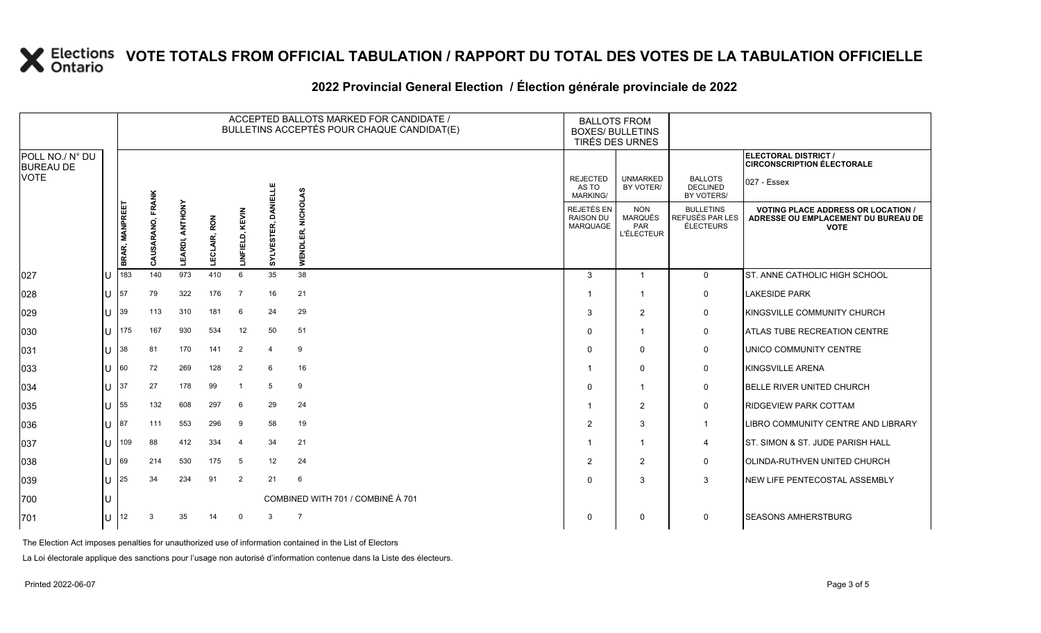|                                     |                      |            |     |     |     |                         |               | ACCEPTED BALLOTS MARKED FOR CANDIDATE /<br>BULLETINS ACCEPTÉS POUR CHAQUE CANDIDAT(E) | <b>BALLOTS FROM</b><br><b>BOXES/ BULLETINS</b><br>TIRÉS DES URNES |                              |                                                 |                                                           |                               |                                            |                                                          |                                                  |
|-------------------------------------|----------------------|------------|-----|-----|-----|-------------------------|---------------|---------------------------------------------------------------------------------------|-------------------------------------------------------------------|------------------------------|-------------------------------------------------|-----------------------------------------------------------|-------------------------------|--------------------------------------------|----------------------------------------------------------|--------------------------------------------------|
| POLL NO./ N° DU<br><b>BUREAU DE</b> |                      |            |     |     |     |                         |               |                                                                                       |                                                                   |                              |                                                 | ELECTORAL DISTRICT /<br><b>CIRCONSCRIPTION ÉLECTORALE</b> |                               |                                            |                                                          |                                                  |
| <b>VOTE</b>                         |                      |            |     |     |     |                         | DANIELLE      |                                                                                       | <b>REJECTED</b><br>AS TO<br><b>MARKING/</b>                       | <b>UNMARKED</b><br>BY VOTER/ | <b>BALLOTS</b><br><b>DECLINED</b><br>BY VOTERS/ | 027 - Essex                                               |                               |                                            |                                                          |                                                  |
|                                     |                      |            |     |     |     |                         | BRAR, MANPREE | FRANK<br>SARANO,<br>₹<br>σ                                                            | ANTHONY<br>LEARDI,                                                | <b>LECLAIR, RON</b>          | KEVIN<br>LINFIELD,                              | SYLVESTER,                                                | <b>NICHOLAS</b><br>Ń<br>WENDL | REJETÉS EN<br><b>RAISON DU</b><br>MARQUAGE | <b>NON</b><br><b>MARQUÉS</b><br>PAR<br><b>L'ÉLECTEUR</b> | <b>BULLETINS</b><br>REFUSÉS PAR LES<br>ÉLECTEURS |
| 027                                 |                      | $U$ 183    | 140 | 973 | 410 | 6                       | 35            | 38                                                                                    | 3                                                                 | $\overline{1}$               | $\mathbf 0$                                     | ST. ANNE CATHOLIC HIGH SCHOOL                             |                               |                                            |                                                          |                                                  |
| 028                                 | U                    | <b>157</b> | 79  | 322 | 176 | $\overline{7}$          | 16            | 21                                                                                    |                                                                   |                              | 0                                               | <b>LAKESIDE PARK</b>                                      |                               |                                            |                                                          |                                                  |
| 029                                 | $\lfloor \rfloor$ 39 |            | 113 | 310 | 181 | 6                       | 24            | 29                                                                                    | 3                                                                 | $\overline{2}$               | 0                                               | KINGSVILLE COMMUNITY CHURCH                               |                               |                                            |                                                          |                                                  |
| 030                                 |                      | $11$ 175   | 167 | 930 | 534 | 12                      | 50            | 51                                                                                    | 0                                                                 | -1                           | 0                                               | <b>ATLAS TUBE RECREATION CENTRE</b>                       |                               |                                            |                                                          |                                                  |
| 031                                 | U                    | <b>38</b>  | 81  | 170 | 141 | 2                       | 4             | 9                                                                                     | $\Omega$                                                          | 0                            | $\mathbf 0$                                     | UNICO COMMUNITY CENTRE                                    |                               |                                            |                                                          |                                                  |
| 033                                 | $U$ 60               |            | 72  | 269 | 128 | 2                       | 6             | 16                                                                                    |                                                                   | $\Omega$                     | 0                                               | KINGSVILLE ARENA                                          |                               |                                            |                                                          |                                                  |
| 034                                 | U                    | 137        | 27  | 178 | 99  | $\overline{\mathbf{1}}$ | 5             | 9                                                                                     | 0                                                                 | -1                           | $\mathbf 0$                                     | <b>BELLE RIVER UNITED CHURCH</b>                          |                               |                                            |                                                          |                                                  |
| 035                                 | U                    | 55         | 132 | 608 | 297 | 6                       | 29            | 24                                                                                    |                                                                   | $\overline{2}$               | $\mathbf 0$                                     | <b>RIDGEVIEW PARK COTTAM</b>                              |                               |                                            |                                                          |                                                  |
| 036                                 | $U$  87              |            | 111 | 553 | 296 | 9                       | 58            | 19                                                                                    | $\overline{2}$                                                    | 3                            | $\mathbf 1$                                     | LIBRO COMMUNITY CENTRE AND LIBRARY                        |                               |                                            |                                                          |                                                  |
| 037                                 | U                    | 109        | 88  | 412 | 334 | $\overline{4}$          | 34            | 21                                                                                    |                                                                   | -1                           | $\overline{4}$                                  | IST. SIMON & ST. JUDE PARISH HALL                         |                               |                                            |                                                          |                                                  |
| 038                                 | U                    | 69         | 214 | 530 | 175 | 5                       | 12            | 24                                                                                    | 2                                                                 | $\overline{2}$               | 0                                               | OLINDA-RUTHVEN UNITED CHURCH                              |                               |                                            |                                                          |                                                  |
| 039                                 |                      | $U$ 25     | 34  | 234 | 91  | 2                       | 21            | 6                                                                                     | 0                                                                 | 3                            | 3                                               | NEW LIFE PENTECOSTAL ASSEMBLY                             |                               |                                            |                                                          |                                                  |
| 700                                 | U                    |            |     |     |     |                         |               | COMBINED WITH 701 / COMBINÉ À 701                                                     |                                                                   |                              |                                                 |                                                           |                               |                                            |                                                          |                                                  |
| 701                                 |                      | U 12       | 3   | 35  | 14  | $\mathbf 0$             | 3             | $\overline{7}$                                                                        | $\mathbf 0$                                                       | $\Omega$                     | $\mathbf 0$                                     | <b>SEASONS AMHERSTBURG</b>                                |                               |                                            |                                                          |                                                  |
|                                     |                      |            |     |     |     |                         |               |                                                                                       |                                                                   |                              |                                                 |                                                           |                               |                                            |                                                          |                                                  |

#### **2022 Provincial General Election / Élection générale provinciale de 2022**

The Election Act imposes penalties for unauthorized use of information contained in the List of Electors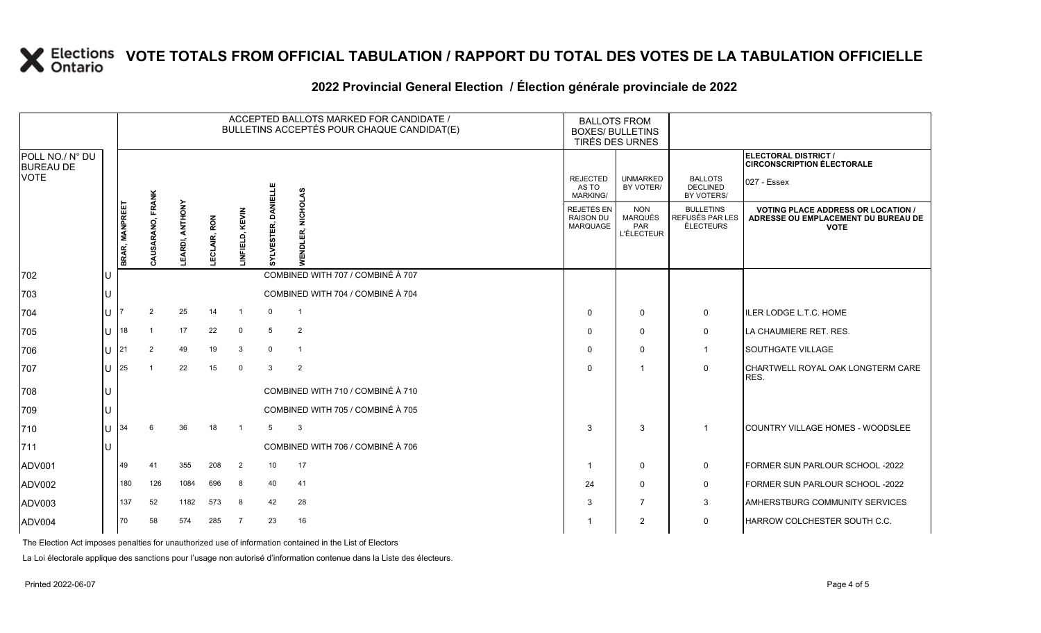#### **2022 Provincial General Election / Élection générale provinciale de 2022**

|                                     |     |                |                  |                        |                     |                 | ACCEPTED BALLOTS MARKED FOR CANDIDATE /<br>BULLETINS ACCEPTÉS POUR CHAQUE CANDIDAT(E) | <b>BALLOTS FROM</b><br><b>BOXES/ BULLETINS</b><br>TIRÉS DES URNES |                                             |                                                          |                                                         |                                                                                                 |
|-------------------------------------|-----|----------------|------------------|------------------------|---------------------|-----------------|---------------------------------------------------------------------------------------|-------------------------------------------------------------------|---------------------------------------------|----------------------------------------------------------|---------------------------------------------------------|-------------------------------------------------------------------------------------------------|
| POLL NO./ N° DU<br><b>BUREAU DE</b> |     |                |                  |                        |                     |                 |                                                                                       |                                                                   |                                             |                                                          |                                                         | ELECTORAL DISTRICT /<br><b>CIRCONSCRIPTION ÉLECTORALE</b>                                       |
| <b>VOTE</b>                         |     |                |                  |                        |                     |                 |                                                                                       | ဖ<br>Š                                                            | <b>REJECTED</b><br>AS TO<br><b>MARKING/</b> | <b>UNMARKED</b><br>BY VOTER/                             | <b>BALLOTS</b><br><b>DECLINED</b><br>BY VOTERS/         | 027 - Essex                                                                                     |
|                                     |     | BRAR, MANPREET | CAUSARANO, FRANK | <b>LEARDI, ANTHONY</b> | <b>LECLAIR, RON</b> | LINFIELD, KEVIN | DANEI<br>ESTER,                                                                       |                                                                   | REJETÉS EN<br><b>RAISON DU</b><br>MARQUAGE  | <b>NON</b><br><b>MARQUÉS</b><br>PAR<br><b>L'ÉLECTEUR</b> | <b>BULLETINS</b><br>REFUSÉS PAR LES<br><b>ÉLECTEURS</b> | <b>VOTING PLACE ADDRESS OR LOCATION /</b><br>ADRESSE OU EMPLACEMENT DU BUREAU DE<br><b>VOTE</b> |
| 702                                 | IU  |                |                  |                        |                     |                 | m.                                                                                    | COMBINED WITH 707 / COMBINÉ À 707                                 |                                             |                                                          |                                                         |                                                                                                 |
| 703                                 | ΙU  |                |                  |                        |                     |                 |                                                                                       | COMBINED WITH 704 / COMBINÉ À 704                                 |                                             |                                                          |                                                         |                                                                                                 |
| 704                                 | lu  |                | 2                | 25                     | 14                  | -1              | $\mathbf 0$                                                                           |                                                                   | $\Omega$                                    | $\mathsf{O}$                                             | 0                                                       | ILER LODGE L.T.C. HOME                                                                          |
| 705                                 | Iυ. | 18             | $\overline{1}$   | 17                     | 22                  | $\mathbf 0$     | 5                                                                                     | $\overline{2}$                                                    | $\Omega$                                    | $\mathbf 0$                                              | 0                                                       | LA CHAUMIERE RET. RES.                                                                          |
| 706                                 | lu  | 21             | 2                | 49                     | 19                  | 3               | $\mathbf{0}$                                                                          | $\overline{1}$                                                    | $\Omega$                                    | $\mathbf 0$                                              | $\overline{1}$                                          | <b>SOUTHGATE VILLAGE</b>                                                                        |
| 707                                 | Iп  | 25             |                  | 22                     | 15                  | $\mathbf 0$     | 3                                                                                     | $\overline{2}$                                                    | $\Omega$                                    |                                                          | $\mathbf 0$                                             | CHARTWELL ROYAL OAK LONGTERM CARE<br>RES.                                                       |
| 708                                 | Iυ  |                |                  |                        |                     |                 |                                                                                       | COMBINED WITH 710 / COMBINÉ À 710                                 |                                             |                                                          |                                                         |                                                                                                 |
| 709                                 | Iυ  |                |                  |                        |                     |                 |                                                                                       | COMBINED WITH 705 / COMBINÉ À 705                                 |                                             |                                                          |                                                         |                                                                                                 |
| 710                                 | IΠ  | 34             | 6                | 36                     | 18                  | - 1             | 5                                                                                     | 3                                                                 | 3                                           | 3                                                        | $\overline{1}$                                          | COUNTRY VILLAGE HOMES - WOODSLEE                                                                |
| $ 711$                              | Iυ  |                |                  |                        |                     |                 |                                                                                       | COMBINED WITH 706 / COMBINÉ À 706                                 |                                             |                                                          |                                                         |                                                                                                 |
| ADV001                              |     | 49             | 41               | 355                    | 208                 | $\overline{2}$  | 10                                                                                    | 17                                                                |                                             | $\mathbf 0$                                              | 0                                                       | FORMER SUN PARLOUR SCHOOL -2022                                                                 |
| ADV002                              |     | 180            | 126              | 1084                   | 696                 | 8               | 40                                                                                    | 41                                                                | 24                                          | $\mathbf 0$                                              | 0                                                       | FORMER SUN PARLOUR SCHOOL -2022                                                                 |
| ADV003                              |     | 137            | 52               | 1182                   | 573                 | 8               | 42                                                                                    | 28                                                                | 3                                           | $\overline{7}$                                           | $\mathbf{3}$                                            | <b>AMHERSTBURG COMMUNITY SERVICES</b>                                                           |
| ADV004                              |     | 70             | 58               | 574                    | 285                 | - 7             | 23                                                                                    | 16                                                                |                                             | $\overline{2}$                                           | 0                                                       | HARROW COLCHESTER SOUTH C.C.                                                                    |

The Election Act imposes penalties for unauthorized use of information contained in the List of Electors